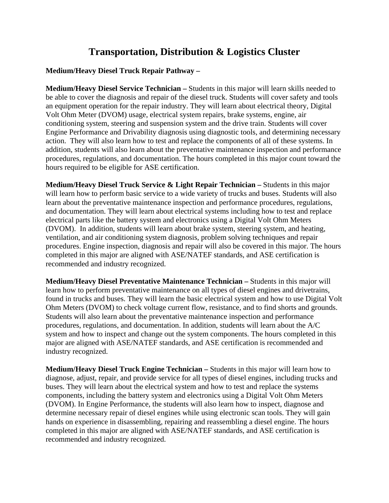## **Transportation, Distribution & Logistics Cluster**

## **Medium/Heavy Diesel Truck Repair Pathway –**

**Medium/Heavy Diesel Service Technician –** Students in this major will learn skills needed to be able to cover the diagnosis and repair of the diesel truck. Students will cover safety and tools an equipment operation for the repair industry. They will learn about electrical theory, Digital Volt Ohm Meter (DVOM) usage, electrical system repairs, brake systems, engine, air conditioning system, steering and suspension system and the drive train. Students will cover Engine Performance and Drivability diagnosis using diagnostic tools, and determining necessary action. They will also learn how to test and replace the components of all of these systems. In addition, students will also learn about the preventative maintenance inspection and performance procedures, regulations, and documentation. The hours completed in this major count toward the hours required to be eligible for ASE certification.

**Medium/Heavy Diesel Truck Service & Light Repair Technician – Students in this major** will learn how to perform basic service to a wide variety of trucks and buses. Students will also learn about the preventative maintenance inspection and performance procedures, regulations, and documentation. They will learn about electrical systems including how to test and replace electrical parts like the battery system and electronics using a Digital Volt Ohm Meters (DVOM). In addition, students will learn about brake system, steering system, and heating, ventilation, and air conditioning system diagnosis, problem solving techniques and repair procedures. Engine inspection, diagnosis and repair will also be covered in this major. The hours completed in this major are aligned with ASE/NATEF standards, and ASE certification is recommended and industry recognized.

**Medium/Heavy Diesel Preventative Maintenance Technician –** Students in this major will learn how to perform preventative maintenance on all types of diesel engines and drivetrains, found in trucks and buses. They will learn the basic electrical system and how to use Digital Volt Ohm Meters (DVOM) to check voltage current flow, resistance, and to find shorts and grounds. Students will also learn about the preventative maintenance inspection and performance procedures, regulations, and documentation. In addition, students will learn about the A/C system and how to inspect and change out the system components. The hours completed in this major are aligned with ASE/NATEF standards, and ASE certification is recommended and industry recognized.

**Medium/Heavy Diesel Truck Engine Technician –** Students in this major will learn how to diagnose, adjust, repair, and provide service for all types of diesel engines, including trucks and buses. They will learn about the electrical system and how to test and replace the systems components, including the battery system and electronics using a Digital Volt Ohm Meters (DVOM). In Engine Performance, the students will also learn how to inspect, diagnose and determine necessary repair of diesel engines while using electronic scan tools. They will gain hands on experience in disassembling, repairing and reassembling a diesel engine. The hours completed in this major are aligned with ASE/NATEF standards, and ASE certification is recommended and industry recognized.